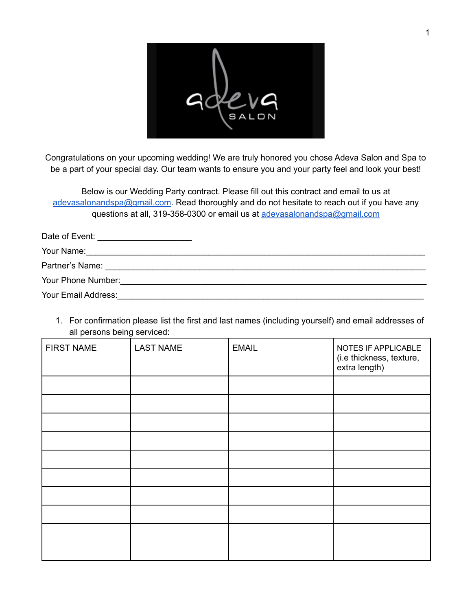| SALON |  |
|-------|--|

Congratulations on your upcoming wedding! We are truly honored you chose Adeva Salon and Spa to be a part of your special day. Our team wants to ensure you and your party feel and look your best!

Below is our Wedding Party contract. Please fill out this contract and email to us at [adevasalonandspa@gmail.com](mailto:adevasalonandspa@gmail.com). Read thoroughly and do not hesitate to reach out if you have any questions at all, 319-358-0300 or email us at [adevasalonandspa@gmail.com](mailto:adevasalonandspa@gmail.com)

| Date of Event:      |  |
|---------------------|--|
|                     |  |
|                     |  |
| Your Phone Number:  |  |
| Your Email Address: |  |

1. For confirmation please list the first and last names (including yourself) and email addresses of all persons being serviced:

| <b>FIRST NAME</b> | <b>LAST NAME</b> | <b>EMAIL</b> | NOTES IF APPLICABLE<br>(i.e thickness, texture,<br>extra length) |
|-------------------|------------------|--------------|------------------------------------------------------------------|
|                   |                  |              |                                                                  |
|                   |                  |              |                                                                  |
|                   |                  |              |                                                                  |
|                   |                  |              |                                                                  |
|                   |                  |              |                                                                  |
|                   |                  |              |                                                                  |
|                   |                  |              |                                                                  |
|                   |                  |              |                                                                  |
|                   |                  |              |                                                                  |
|                   |                  |              |                                                                  |